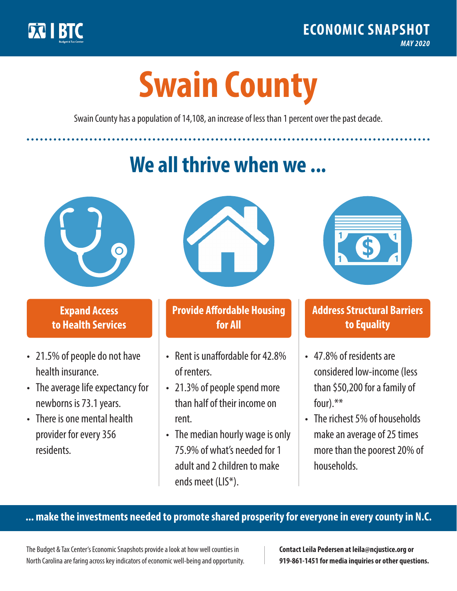

**1**

# **Swain County**

Swain County has a population of 14,108, an increase of less than 1 percent over the past decade.

# **We all thrive when we ...**



**\$ <sup>1</sup>**

**\$ <sup>1</sup>**

#### **Expand Access to Health Services**

- 21.5% of people do not have health insurance.
- The average life expectancy for newborns is 73.1 years.
- There is one mental health provider for every 356 residents.



## **Provide Affordable Housing for All**

- Rent is unaffordable for 42.8% of renters.
- 21.3% of people spend more than half of their income on rent.
- The median hourly wage is only 75.9% of what's needed for 1 adult and 2 children to make ends meet (LIS\*).



## **Address Structural Barriers to Equality**

- 47.8% of residents are considered low-income (less than \$50,200 for a family of four).\*\*
- The richest 5% of households make an average of 25 times more than the poorest 20% of households.

#### **... make the investments needed to promote shared prosperity for everyone in every county in N.C.**

The Budget & Tax Center's Economic Snapshots provide a look at how well counties in North Carolina are faring across key indicators of economic well-being and opportunity.